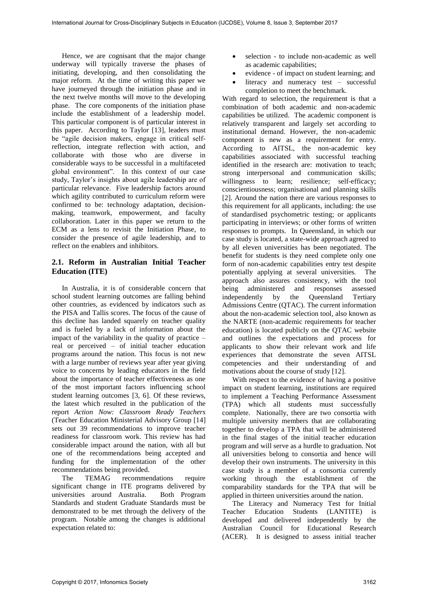Hence, we are cognisant that the major change underway will typically traverse the phases of initiating, developing, and then consolidating the major reform. At the time of writing this paper we have journeyed through the initiation phase and in the next twelve months will move to the developing phase. The core components of the initiation phase include the establishment of a leadership model. This particular component is of particular interest in this paper. According to Taylor [13], leaders must be "agile decision makers, engage in critical selfreflection, integrate reflection with action, and collaborate with those who are diverse in considerable ways to be successful in a multifaceted global environment". In this context of our case study, Taylor's insights about agile leadership are of particular relevance. Five leadership factors around which agility contributed to curriculum reform were confirmed to be: technology adaptation, decisionmaking, teamwork, empowerment, and faculty collaboration. Later in this paper we return to the ECM as a lens to revisit the Initiation Phase, to consider the presence of agile leadership, and to reflect on the enablers and inhibitors.

### **2.1. Reform in Australian Initial Teacher Education (ITE)**

In Australia, it is of considerable concern that school student learning outcomes are falling behind other countries, as evidenced by indicators such as the PISA and Tallis scores. The focus of the cause of this decline has landed squarely on teacher quality and is fueled by a lack of information about the impact of the variability in the quality of practice – real or perceived – of initial teacher education programs around the nation. This focus is not new with a large number of reviews year after year giving voice to concerns by leading educators in the field about the importance of teacher effectiveness as one of the most important factors influencing school student learning outcomes [3, 6]. Of these reviews, the latest which resulted in the publication of the report *Action Now: Classroom Ready Teachers* (Teacher Education Ministerial Advisory Group [14] sets out 39 recommendations to improve teacher readiness for classroom work. This review has had considerable impact around the nation, with all but one of the recommendations being accepted and funding for the implementation of the other recommendations being provided.

The TEMAG recommendations require significant change in ITE programs delivered by universities around Australia. Both Program Standards and student Graduate Standards must be demonstrated to be met through the delivery of the program. Notable among the changes is additional expectation related to:

- selection to include non-academic as well as academic capabilities;
- evidence of impact on student learning; and
- literacy and numeracy test successful completion to meet the benchmark.

With regard to selection, the requirement is that a combination of both academic and non-academic capabilities be utilized. The academic component is relatively transparent and largely set according to institutional demand. However, the non-academic component is new as a requirement for entry. According to AITSL, the non-academic key capabilities associated with successful teaching identified in the research are: motivation to teach; strong interpersonal and communication skills; willingness to learn; resilience; self-efficacy; conscientiousness; organisational and planning skills [2]. Around the nation there are various responses to this requirement for all applicants, including: the use of standardised psychometric testing; or applicants participating in interviews; or other forms of written responses to prompts. In Queensland, in which our case study is located, a state-wide approach agreed to by all eleven universities has been negotiated. The benefit for students is they need complete only one form of non-academic capabilities entry test despite potentially applying at several universities. The approach also assures consistency, with the tool being administered and responses assessed<br>independently by the Queensland Tertiary independently by the Queensland Admissions Centre (QTAC). The current information about the non-academic selection tool, also known as the NARTE (non-academic requirements for teacher education) is located publicly on the QTAC website and outlines the expectations and process for applicants to show their relevant work and life experiences that demonstrate the seven AITSL competencies and their understanding of and motivations about the course of study [12].

With respect to the evidence of having a positive impact on student learning, institutions are required to implement a Teaching Performance Assessment (TPA) which all students must successfully complete. Nationally, there are two consortia with multiple university members that are collaborating together to develop a TPA that will be administered in the final stages of the initial teacher education program and will serve as a hurdle to graduation. Not all universities belong to consortia and hence will develop their own instruments. The university in this case study is a member of a consortia currently working through the establishment of the comparability standards for the TPA that will be applied in thirteen universities around the nation.

The Literacy and Numeracy Test for Initial Teacher Education Students (LANTITE) is developed and delivered independently by the Australian Council for Educational Research (ACER). It is designed to assess initial teacher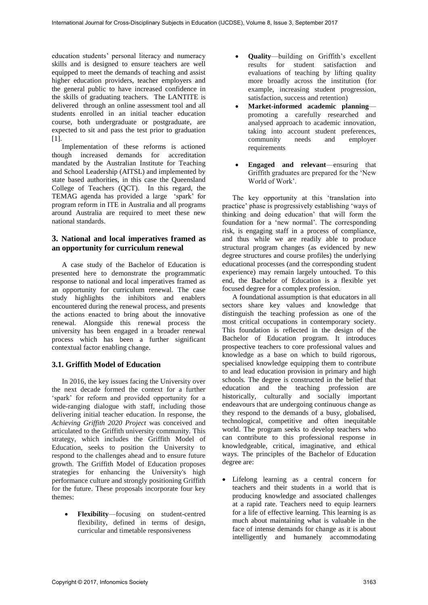education students' personal literacy and numeracy skills and is designed to ensure teachers are well equipped to meet the demands of teaching and assist higher education providers, teacher employers and the general public to have increased confidence in the skills of graduating teachers. The LANTITE is delivered through an online assessment tool and all students enrolled in an initial teacher education course, both undergraduate or postgraduate, are expected to sit and pass the test prior to graduation [1].

Implementation of these reforms is actioned though increased demands for accreditation mandated by the Australian Institute for Teaching and School Leadership (AITSL) and implemented by state based authorities, in this case the Queensland College of Teachers (QCT). In this regard, the TEMAG agenda has provided a large 'spark' for program reform in ITE in Australia and all programs around Australia are required to meet these new national standards.

# **3. National and local imperatives framed as an opportunity for curriculum renewal**

A case study of the Bachelor of Education is presented here to demonstrate the programmatic response to national and local imperatives framed as an opportunity for curriculum renewal. The case study highlights the inhibitors and enablers encountered during the renewal process, and presents the actions enacted to bring about the innovative renewal. Alongside this renewal process the university has been engaged in a broader renewal process which has been a further significant contextual factor enabling change.

# **3.1. Griffith Model of Education**

In 2016, the key issues facing the University over the next decade formed the context for a further 'spark' for reform and provided opportunity for a wide-ranging dialogue with staff, including those delivering initial teacher education. In response, the *Achieving Griffith 2020 Project* was conceived and articulated to the Griffith university community. This strategy, which includes the Griffith Model of Education, seeks to position the University to respond to the challenges ahead and to ensure future growth. The Griffith Model of Education proposes strategies for enhancing the University's high performance culture and strongly positioning Griffith for the future. These proposals incorporate four key themes:

 **Flexibility**—focusing on student-centred flexibility, defined in terms of design, curricular and timetable responsiveness

- **Quality**—building on Griffith's excellent results for student satisfaction and evaluations of teaching by lifting quality more broadly across the institution (for example, increasing student progression, satisfaction, success and retention)
- **Market-informed academic planning** promoting a carefully researched and analysed approach to academic innovation, taking into account student preferences,<br>community needs and employer community needs and employer requirements
- **Engaged and relevant**—ensuring that Griffith graduates are prepared for the 'New World of Work'.

The key opportunity at this 'translation into practice' phase is progressively establishing 'ways of thinking and doing education' that will form the foundation for a 'new normal'. The corresponding risk, is engaging staff in a process of compliance, and thus while we are readily able to produce structural program changes (as evidenced by new degree structures and course profiles) the underlying educational processes (and the corresponding student experience) may remain largely untouched. To this end, the Bachelor of Education is a flexible yet focused degree for a complex profession.

A foundational assumption is that educators in all sectors share key values and knowledge that distinguish the teaching profession as one of the most critical occupations in contemporary society. This foundation is reflected in the design of the Bachelor of Education program. It introduces prospective teachers to core professional values and knowledge as a base on which to build rigorous, specialised knowledge equipping them to contribute to and lead education provision in primary and high schools. The degree is constructed in the belief that education and the teaching profession are historically, culturally and socially important endeavours that are undergoing continuous change as they respond to the demands of a busy, globalised, technological, competitive and often inequitable world. The program seeks to develop teachers who can contribute to this professional response in knowledgeable, critical, imaginative, and ethical ways. The principles of the Bachelor of Education degree are:

 Lifelong learning as a central concern for teachers and their students in a world that is producing knowledge and associated challenges at a rapid rate. Teachers need to equip learners for a life of effective learning. This learning is as much about maintaining what is valuable in the face of intense demands for change as it is about intelligently and humanely accommodating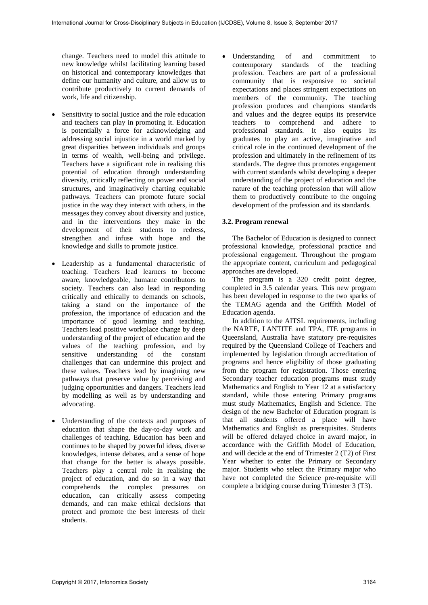change. Teachers need to model this attitude to new knowledge whilst facilitating learning based on historical and contemporary knowledges that define our humanity and culture, and allow us to contribute productively to current demands of work, life and citizenship.

- Sensitivity to social justice and the role education and teachers can play in promoting it. Education is potentially a force for acknowledging and addressing social injustice in a world marked by great disparities between individuals and groups in terms of wealth, well-being and privilege. Teachers have a significant role in realising this potential of education through understanding diversity, critically reflecting on power and social structures, and imaginatively charting equitable pathways. Teachers can promote future social justice in the way they interact with others, in the messages they convey about diversity and justice, and in the interventions they make in the development of their students to redress, strengthen and infuse with hope and the knowledge and skills to promote justice.
- Leadership as a fundamental characteristic of teaching. Teachers lead learners to become aware, knowledgeable, humane contributors to society. Teachers can also lead in responding critically and ethically to demands on schools, taking a stand on the importance of the profession, the importance of education and the importance of good learning and teaching. Teachers lead positive workplace change by deep understanding of the project of education and the values of the teaching profession, and by sensitive understanding of the constant challenges that can undermine this project and these values. Teachers lead by imagining new pathways that preserve value by perceiving and judging opportunities and dangers. Teachers lead by modelling as well as by understanding and advocating.
- Understanding of the contexts and purposes of education that shape the day-to-day work and challenges of teaching. Education has been and continues to be shaped by powerful ideas, diverse knowledges, intense debates, and a sense of hope that change for the better is always possible. Teachers play a central role in realising the project of education, and do so in a way that comprehends the complex pressures on education, can critically assess competing demands, and can make ethical decisions that protect and promote the best interests of their students.

 Understanding of and commitment to contemporary standards of the teaching profession. Teachers are part of a professional community that is responsive to societal expectations and places stringent expectations on members of the community. The teaching profession produces and champions standards and values and the degree equips its preservice teachers to comprehend and adhere to professional standards. It also equips its graduates to play an active, imaginative and critical role in the continued development of the profession and ultimately in the refinement of its standards. The degree thus promotes engagement with current standards whilst developing a deeper understanding of the project of education and the nature of the teaching profession that will allow them to productively contribute to the ongoing development of the profession and its standards.

### **3.2. Program renewal**

The Bachelor of Education is designed to connect professional knowledge, professional practice and professional engagement. Throughout the program the appropriate content, curriculum and pedagogical approaches are developed.

The program is a 320 credit point degree, completed in 3.5 calendar years. This new program has been developed in response to the two sparks of the TEMAG agenda and the Griffith Model of Education agenda.

In addition to the AITSL requirements, including the NARTE, LANTITE and TPA, ITE programs in Queensland, Australia have statutory pre-requisites required by the Queensland College of Teachers and implemented by legislation through accreditation of programs and hence eligibility of those graduating from the program for registration. Those entering Secondary teacher education programs must study Mathematics and English to Year 12 at a satisfactory standard, while those entering Primary programs must study Mathematics, English and Science. The design of the new Bachelor of Education program is that all students offered a place will have Mathematics and English as prerequisites. Students will be offered delayed choice in award major, in accordance with the Griffith Model of Education, and will decide at the end of Trimester 2 (T2) of First Year whether to enter the Primary or Secondary major. Students who select the Primary major who have not completed the Science pre-requisite will complete a bridging course during Trimester 3 (T3).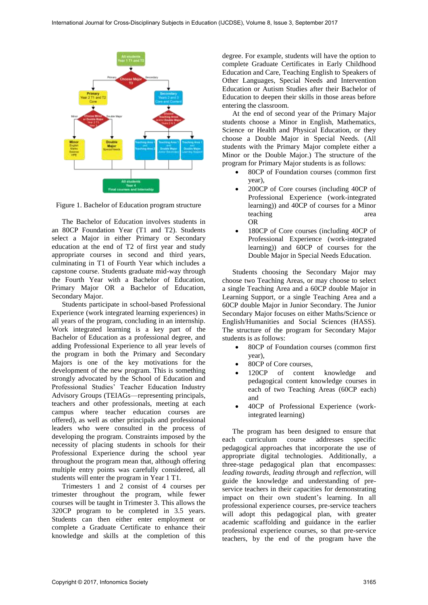

Figure 1. Bachelor of Education program structure

The Bachelor of Education involves students in an 80CP Foundation Year (T1 and T2). Students select a Major in either Primary or Secondary education at the end of T2 of first year and study appropriate courses in second and third years, culminating in T1 of Fourth Year which includes a capstone course. Students graduate mid-way through the Fourth Year with a Bachelor of Education, Primary Major OR a Bachelor of Education, Secondary Major.

Students participate in school-based Professional Experience (work integrated learning experiences) in all years of the program, concluding in an internship. Work integrated learning is a key part of the Bachelor of Education as a professional degree, and adding Professional Experience to all year levels of the program in both the Primary and Secondary Majors is one of the key motivations for the development of the new program. This is something strongly advocated by the School of Education and Professional Studies' Teacher Education Industry Advisory Groups (TEIAGs—representing principals, teachers and other professionals, meeting at each campus where teacher education courses are offered), as well as other principals and professional leaders who were consulted in the process of developing the program. Constraints imposed by the necessity of placing students in schools for their Professional Experience during the school year throughout the program mean that, although offering multiple entry points was carefully considered, all students will enter the program in Year 1 T1.

Trimesters 1 and 2 consist of 4 courses per trimester throughout the program, while fewer courses will be taught in Trimester 3. This allows the 320CP program to be completed in 3.5 years. Students can then either enter employment or complete a Graduate Certificate to enhance their knowledge and skills at the completion of this

degree. For example, students will have the option to complete Graduate Certificates in Early Childhood Education and Care, Teaching English to Speakers of Other Languages, Special Needs and Intervention Education or Autism Studies after their Bachelor of Education to deepen their skills in those areas before entering the classroom.

At the end of second year of the Primary Major students choose a Minor in English, Mathematics, Science or Health and Physical Education, or they choose a Double Major in Special Needs. (All students with the Primary Major complete either a Minor or the Double Major.) The structure of the program for Primary Major students is as follows:

- 80CP of Foundation courses (common first year),
- 200CP of Core courses (including 40CP of Professional Experience (work-integrated learning)) and 40CP of courses for a Minor teaching area OR
- 180CP of Core courses (including 40CP of Professional Experience (work-integrated learning)) and 60CP of courses for the Double Major in Special Needs Education.

Students choosing the Secondary Major may choose two Teaching Areas, or may choose to select a single Teaching Area and a 60CP double Major in Learning Support, or a single Teaching Area and a 60CP double Major in Junior Secondary. The Junior Secondary Major focuses on either Maths/Science or English/Humanities and Social Sciences (HASS). The structure of the program for Secondary Major students is as follows:

- 80CP of Foundation courses (common first year),
- 80CP of Core courses,
- 120CP of content knowledge and pedagogical content knowledge courses in each of two Teaching Areas (60CP each) and
- 40CP of Professional Experience (workintegrated learning)

The program has been designed to ensure that each curriculum course addresses specific pedagogical approaches that incorporate the use of appropriate digital technologies. Additionally, a three-stage pedagogical plan that encompasses: *leading towards, leading through* and *reflection*, will guide the knowledge and understanding of preservice teachers in their capacities for demonstrating impact on their own student's learning. In all professional experience courses, pre-service teachers will adopt this pedagogical plan, with greater academic scaffolding and guidance in the earlier professional experience courses, so that pre-service teachers, by the end of the program have the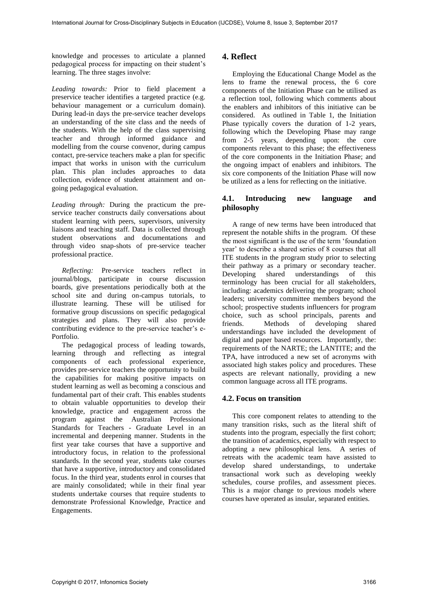knowledge and processes to articulate a planned pedagogical process for impacting on their student's learning. The three stages involve:

*Leading towards:* Prior to field placement a preservice teacher identifies a targeted practice (e.g. behaviour management or a curriculum domain). During lead-in days the pre-service teacher develops an understanding of the site class and the needs of the students. With the help of the class supervising teacher and through informed guidance and modelling from the course convenor, during campus contact, pre-service teachers make a plan for specific impact that works in unison with the curriculum plan. This plan includes approaches to data collection, evidence of student attainment and ongoing pedagogical evaluation.

*Leading through:* During the practicum the preservice teacher constructs daily conversations about student learning with peers, supervisors, university liaisons and teaching staff. Data is collected through student observations and documentations and through video snap-shots of pre-service teacher professional practice.

*Reflecting:* Pre-service teachers reflect in journal/blogs, participate in course discussion boards, give presentations periodically both at the school site and during on-campus tutorials, to illustrate learning. These will be utilised for formative group discussions on specific pedagogical strategies and plans. They will also provide contributing evidence to the pre-service teacher's e-Portfolio.

The pedagogical process of leading towards, learning through and reflecting as integral components of each professional experience, provides pre-service teachers the opportunity to build the capabilities for making positive impacts on student learning as well as becoming a conscious and fundamental part of their craft. This enables students to obtain valuable opportunities to develop their knowledge, practice and engagement across the program against the Australian Professional Standards for Teachers - Graduate Level in an incremental and deepening manner. Students in the first year take courses that have a supportive and introductory focus, in relation to the professional standards. In the second year, students take courses that have a supportive, introductory and consolidated focus. In the third year, students enrol in courses that are mainly consolidated; while in their final year students undertake courses that require students to demonstrate Professional Knowledge, Practice and Engagements.

# **4. Reflect**

Employing the Educational Change Model as the lens to frame the renewal process, the 6 core components of the Initiation Phase can be utilised as a reflection tool, following which comments about the enablers and inhibitors of this initiative can be considered. As outlined in Table 1, the Initiation Phase typically covers the duration of 1-2 years, following which the Developing Phase may range from 2-5 years, depending upon: the core components relevant to this phase; the effectiveness of the core components in the Initiation Phase; and the ongoing impact of enablers and inhibitors. The six core components of the Initiation Phase will now be utilized as a lens for reflecting on the initiative.

## **4.1. Introducing new language and philosophy**

A range of new terms have been introduced that represent the notable shifts in the program. Of these the most significant is the use of the term 'foundation year' to describe a shared series of 8 courses that all ITE students in the program study prior to selecting their pathway as a primary or secondary teacher. Developing shared understandings of this terminology has been crucial for all stakeholders, including: academics delivering the program; school leaders; university committee members beyond the school; prospective students influencers for program choice, such as school principals, parents and<br>friends. Methods of developing shared friends. Methods of developing shared understandings have included the development of digital and paper based resources. Importantly, the: requirements of the NARTE; the LANTITE; and the TPA, have introduced a new set of acronyms with associated high stakes policy and procedures. These aspects are relevant nationally, providing a new common language across all ITE programs.

# **4.2. Focus on transition**

This core component relates to attending to the many transition risks, such as the literal shift of students into the program, especially the first cohort; the transition of academics, especially with respect to adopting a new philosophical lens. A series of retreats with the academic team have assisted to develop shared understandings, to undertake transactional work such as developing weekly schedules, course profiles, and assessment pieces. This is a major change to previous models where courses have operated as insular, separated entities.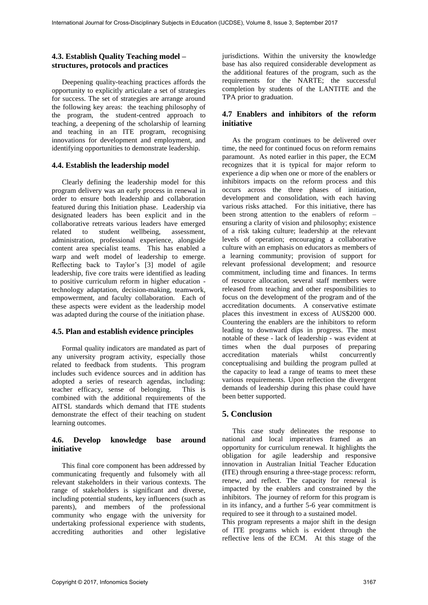## **4.3. Establish Quality Teaching model – structures, protocols and practices**

Deepening quality-teaching practices affords the opportunity to explicitly articulate a set of strategies for success. The set of strategies are arrange around the following key areas: the teaching philosophy of the program, the student-centred approach to teaching, a deepening of the scholarship of learning and teaching in an ITE program, recognising innovations for development and employment, and identifying opportunities to demonstrate leadership.

# **4.4. Establish the leadership model**

Clearly defining the leadership model for this program delivery was an early process in renewal in order to ensure both leadership and collaboration featured during this Initiation phase. Leadership via designated leaders has been explicit and in the collaborative retreats various leaders have emerged related to student wellbeing, assessment, administration, professional experience, alongside content area specialist teams. This has enabled a warp and weft model of leadership to emerge. Reflecting back to Taylor's [3] model of agile leadership, five core traits were identified as leading to positive curriculum reform in higher education technology adaptation, decision-making, teamwork, empowerment, and faculty collaboration. Each of these aspects were evident as the leadership model was adapted during the course of the initiation phase.

# **4.5. Plan and establish evidence principles**

Formal quality indicators are mandated as part of any university program activity, especially those related to feedback from students. This program includes such evidence sources and in addition has adopted a series of research agendas, including: teacher efficacy, sense of belonging. This is combined with the additional requirements of the AITSL standards which demand that ITE students demonstrate the effect of their teaching on student learning outcomes.

### **4.6. Develop knowledge base around initiative**

This final core component has been addressed by communicating frequently and fulsomely with all relevant stakeholders in their various contexts. The range of stakeholders is significant and diverse, including potential students, key influencers (such as parents), and members of the professional community who engage with the university for undertaking professional experience with students, accrediting authorities and other legislative jurisdictions. Within the university the knowledge base has also required considerable development as the additional features of the program, such as the requirements for the NARTE; the successful completion by students of the LANTITE and the TPA prior to graduation.

# **4.7 Enablers and inhibitors of the reform initiative**

As the program continues to be delivered over time, the need for continued focus on reform remains paramount. As noted earlier in this paper, the ECM recognizes that it is typical for major reform to experience a dip when one or more of the enablers or inhibitors impacts on the reform process and this occurs across the three phases of initiation, development and consolidation, with each having various risks attached. For this initiative, there has been strong attention to the enablers of reform – ensuring a clarity of vision and philosophy; existence of a risk taking culture; leadership at the relevant levels of operation; encouraging a collaborative culture with an emphasis on educators as members of a learning community; provision of support for relevant professional development; and resource commitment, including time and finances. In terms of resource allocation, several staff members were released from teaching and other responsibilities to focus on the development of the program and of the accreditation documents. A conservative estimate places this investment in excess of AUS\$200 000. Countering the enablers are the inhibitors to reform leading to downward dips in progress. The most notable of these - lack of leadership - was evident at times when the dual purposes of preparing accreditation materials whilst concurrently conceptualising and building the program pulled at the capacity to lead a range of teams to meet these various requirements. Upon reflection the divergent demands of leadership during this phase could have been better supported.

# **5. Conclusion**

This case study delineates the response to national and local imperatives framed as an opportunity for curriculum renewal. It highlights the obligation for agile leadership and responsive innovation in Australian Initial Teacher Education (ITE) through ensuring a three-stage process: reform, renew, and reflect. The capacity for renewal is impacted by the enablers and constrained by the inhibitors. The journey of reform for this program is in its infancy, and a further 5-6 year commitment is required to see it through to a sustained model.

This program represents a major shift in the design of ITE programs which is evident through the reflective lens of the ECM. At this stage of the